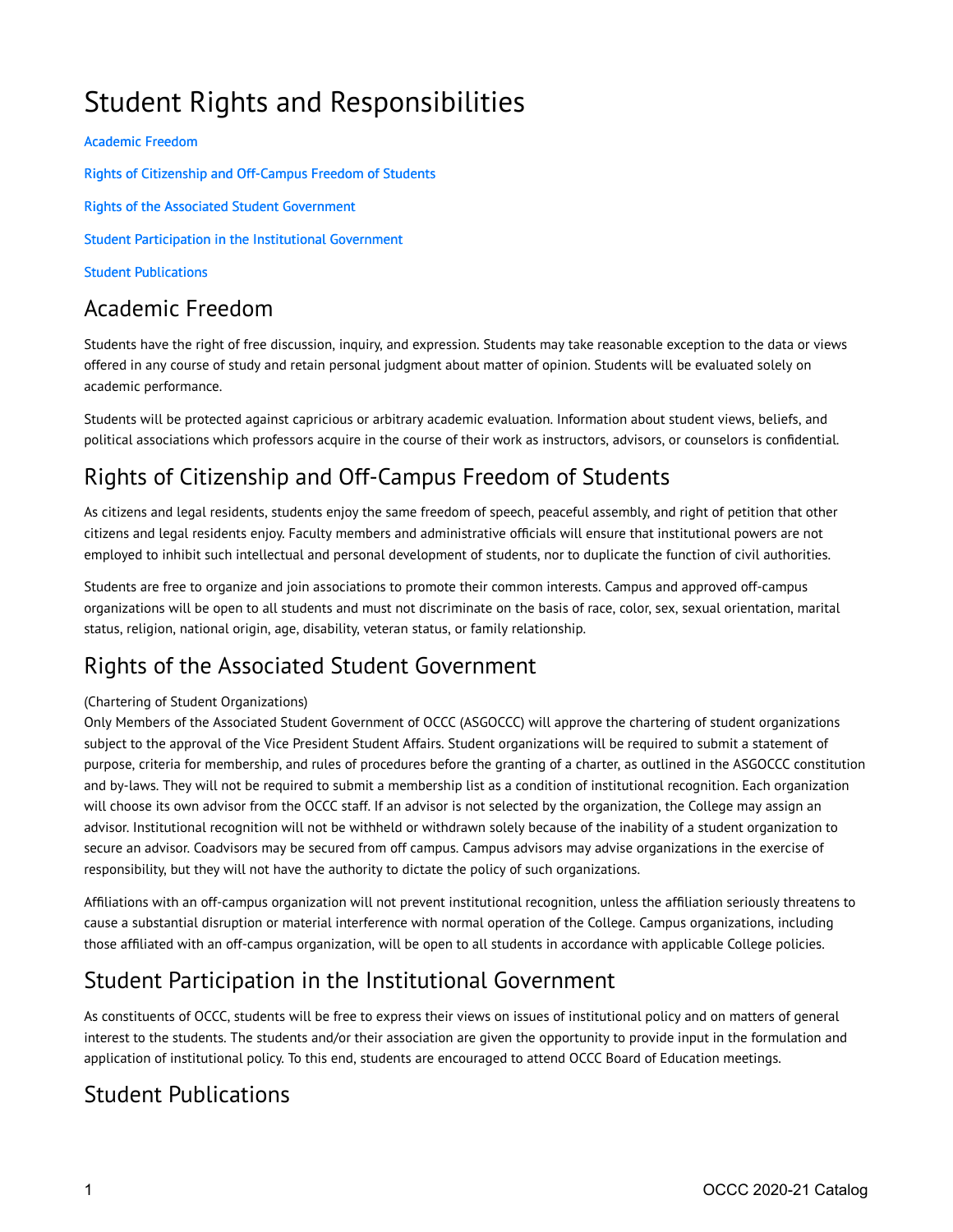# Student Rights and Responsibilities

#### [Academic Freedom](#page-0-0)

Rights of Citizenship and Off-Campus Freedom of Students

[Rights of the Associated Student Government](#page-0-2)

[Student Participation in the Institutional Government](#page-0-3) 

[Student Publications](#page-0-4)

### <span id="page-0-0"></span>Academic Freedom

Students have the right of free discussion, inquiry, and expression. Students may take reasonable exception to the data or views offered in any course of study and retain personal judgment about matter of opinion. Students will be evaluated solely on academic performance.

Students will be protected against capricious or arbitrary academic evaluation. Information about student views, beliefs, and political associations which professors acquire in the course of their work as instructors, advisors, or counselors is confidential.

## <span id="page-0-1"></span>Rights of Citizenship and Off-Campus Freedom of Students

As citizens and legal residents, students enjoy the same freedom of speech, peaceful assembly, and right of petition that other citizens and legal residents enjoy. Faculty members and administrative officials will ensure that institutional powers are not employed to inhibit such intellectual and personal development of students, nor to duplicate the function of civil authorities.

Students are free to organize and join associations to promote their common interests. Campus and approved off-campus organizations will be open to all students and must not discriminate on the basis of race, color, sex, sexual orientation, marital status, religion, national origin, age, disability, veteran status, or family relationship.

### <span id="page-0-2"></span>Rights of the Associated Student Government

#### (Chartering of Student Organizations)

Only Members of the Associated Student Government of OCCC (ASGOCCC) will approve the chartering of student organizations subject to the approval of the Vice President Student Affairs. Student organizations will be required to submit a statement of purpose, criteria for membership, and rules of procedures before the granting of a charter, as outlined in the ASGOCCC constitution and by-laws. They will not be required to submit a membership list as a condition of institutional recognition. Each organization will choose its own advisor from the OCCC staff. If an advisor is not selected by the organization, the College may assign an advisor. Institutional recognition will not be withheld or withdrawn solely because of the inability of a student organization to secure an advisor. Coadvisors may be secured from off campus. Campus advisors may advise organizations in the exercise of responsibility, but they will not have the authority to dictate the policy of such organizations.

Affiliations with an off-campus organization will not prevent institutional recognition, unless the affiliation seriously threatens to cause a substantial disruption or material interference with normal operation of the College. Campus organizations, including those affiliated with an off-campus organization, will be open to all students in accordance with applicable College policies.

#### <span id="page-0-3"></span>Student Participation in the Institutional Government

As constituents of OCCC, students will be free to express their views on issues of institutional policy and on matters of general interest to the students. The students and/or their association are given the opportunity to provide input in the formulation and application of institutional policy. To this end, students are encouraged to attend OCCC Board of Education meetings.

#### <span id="page-0-4"></span>Student Publications